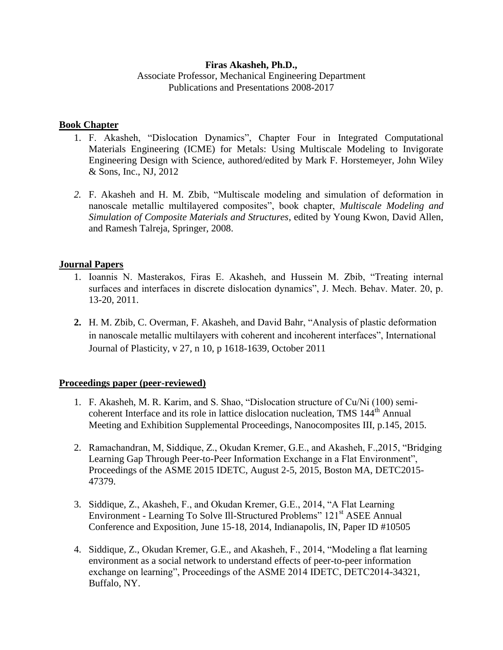# **Firas Akasheh, Ph.D.,**

Associate Professor, Mechanical Engineering Department Publications and Presentations 2008-2017

# **Book Chapter**

- 1. F. Akasheh, "Dislocation Dynamics", Chapter Four in Integrated Computational Materials Engineering (ICME) for Metals: Using Multiscale Modeling to Invigorate Engineering Design with Science, authored/edited by Mark F. Horstemeyer, John Wiley & Sons, Inc., NJ, 2012
- *2.* F. Akasheh and H. M. Zbib, "Multiscale modeling and simulation of deformation in nanoscale metallic multilayered composites", book chapter, *Multiscale Modeling and Simulation of Composite Materials and Structures*, edited by Young Kwon, David Allen, and Ramesh Talreja, Springer, 2008.

# **Journal Papers**

- 1. Ioannis N. Masterakos, Firas E. Akasheh, and Hussein M. Zbib, "Treating internal surfaces and interfaces in discrete dislocation dynamics", J. Mech. Behav. Mater. 20, p. 13-20, 2011.
- **2.** H. M. Zbib, C. Overman, F. Akasheh, and David Bahr, "Analysis of plastic deformation in nanoscale metallic multilayers with coherent and incoherent interfaces", International Journal of Plasticity, v 27, n 10, p 1618-1639, October 2011

# **Proceedings paper (peer-reviewed)**

- 1. F. Akasheh, M. R. Karim, and S. Shao, "Dislocation structure of Cu/Ni (100) semicoherent Interface and its role in lattice dislocation nucleation, TMS 144<sup>th</sup> Annual Meeting and Exhibition Supplemental Proceedings, Nanocomposites III, p.145, 2015.
- 2. Ramachandran, M, Siddique, Z., Okudan Kremer, G.E., and Akasheh, F.,2015, "Bridging Learning Gap Through Peer-to-Peer Information Exchange in a Flat Environment", Proceedings of the ASME 2015 IDETC, August 2-5, 2015, Boston MA, DETC2015- 47379.
- 3. Siddique, Z., Akasheh, F., and Okudan Kremer, G.E., 2014, "A Flat Learning Environment - Learning To Solve Ill-Structured Problems" 121<sup>st</sup> ASEE Annual Conference and Exposition, June 15-18, 2014, Indianapolis, IN, Paper ID #10505
- 4. Siddique, Z., Okudan Kremer, G.E., and Akasheh, F., 2014, "Modeling a flat learning environment as a social network to understand effects of peer-to-peer information exchange on learning", Proceedings of the ASME 2014 IDETC, DETC2014-34321, Buffalo, NY.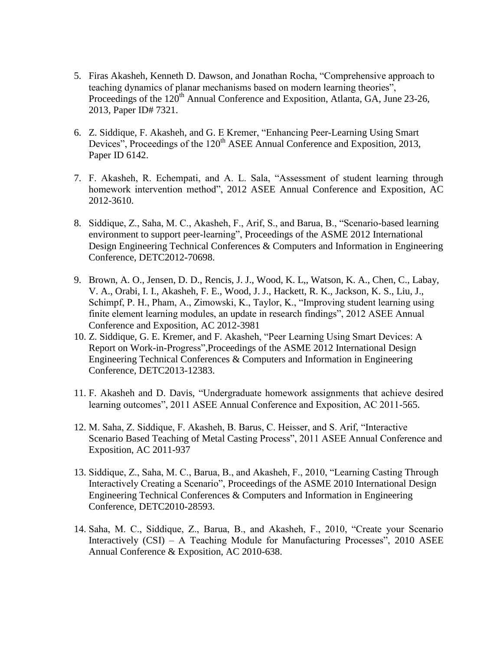- 5. Firas Akasheh, Kenneth D. Dawson, and Jonathan Rocha, "Comprehensive approach to teaching dynamics of planar mechanisms based on modern learning theories", Proceedings of the 120<sup>th</sup> Annual Conference and Exposition, Atlanta, GA, June 23-26, 2013, Paper ID# 7321.
- 6. Z. Siddique, F. Akasheh, and G. E Kremer, "Enhancing Peer-Learning Using Smart Devices", Proceedings of the 120<sup>th</sup> ASEE Annual Conference and Exposition, 2013, Paper ID 6142.
- 7. F. Akasheh, R. Echempati, and A. L. Sala, "Assessment of student learning through homework intervention method", 2012 ASEE Annual Conference and Exposition, AC 2012-3610.
- 8. Siddique, Z., Saha, M. C., Akasheh, F., Arif, S., and Barua, B., "Scenario-based learning environment to support peer-learning", Proceedings of the ASME 2012 International Design Engineering Technical Conferences & Computers and Information in Engineering Conference, DETC2012-70698.
- 9. Brown, A. O., Jensen, D. D., Rencis, J. J., Wood, K. L,, Watson, K. A., Chen, C., Labay, V. A., Orabi, I. I., Akasheh, F. E., Wood, J. J., Hackett, R. K., Jackson, K. S., Liu, J., Schimpf, P. H., Pham, A., Zimowski, K., Taylor, K., "Improving student learning using finite element learning modules, an update in research findings", 2012 ASEE Annual Conference and Exposition, AC 2012-3981
- 10. Z. Siddique, G. E. Kremer, and F. Akasheh, "Peer Learning Using Smart Devices: A Report on Work-in-Progress",Proceedings of the ASME 2012 International Design Engineering Technical Conferences & Computers and Information in Engineering Conference, DETC2013-12383.
- 11. F. Akasheh and D. Davis, "Undergraduate homework assignments that achieve desired learning outcomes", 2011 ASEE Annual Conference and Exposition, AC 2011-565.
- 12. M. Saha, Z. Siddique, F. Akasheh, B. Barus, C. Heisser, and S. Arif, "Interactive Scenario Based Teaching of Metal Casting Process", 2011 ASEE Annual Conference and Exposition, AC 2011-937
- 13. Siddique, Z., Saha, M. C., Barua, B., and Akasheh, F., 2010, "Learning Casting Through Interactively Creating a Scenario", Proceedings of the ASME 2010 International Design Engineering Technical Conferences & Computers and Information in Engineering Conference, DETC2010-28593.
- 14. Saha, M. C., Siddique, Z., Barua, B., and Akasheh, F., 2010, "Create your Scenario Interactively (CSI) – A Teaching Module for Manufacturing Processes", 2010 ASEE Annual Conference & Exposition, AC 2010-638.